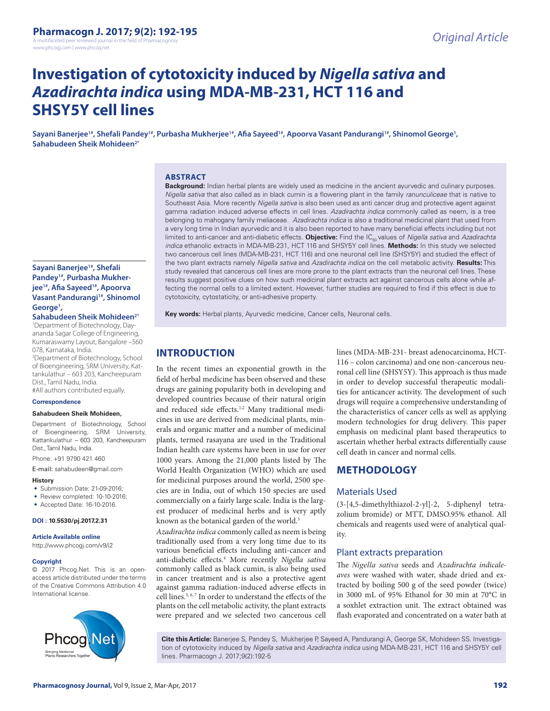A multifaceted peer reviewed journal in the field of Pharmacogr www.phcogj.com | www.phcog.net

# **Investigation of cytotoxicity induced by** *Nigella sativa* **and**  *Azadirachta indica* **using MDA-MB-231, HCT 116 and SHSY5Y cell lines**

Sayani Banerjee<sup>1#</sup>, Shefali Pandey<sup>1#</sup>, Purbasha Mukherjee<sup>1#</sup>, Afia Sayeed<sup>1#</sup>, Apoorva Vasant Pandurangi<sup>1#</sup>, Shinomol George<sup>1</sup>, **Sahabudeen Sheik Mohideen2\***

#### **ABSTRACT**

#### **Background:** Indian herbal plants are widely used as medicine in the ancient ayurvedic and culinary purposes. *Nigella sativa* that also called as in black cumin is a flowering plant in the family *ranunculiceae* that is native to Southeast Asia. More recently *Nigella sativa* is also been used as anti cancer drug and protective agent against gamma radiation induced adverse effects in cell lines. *Azadirachta indica* commonly called as neem, is a tree belonging to mahogany family meliaceae. *Azadirachta indica* is also a traditional medicinal plant that used from a very long time in Indian ayurvedic and it is also been reported to have many beneficial effects including but not limited to anti-cancer and anti-diabetic effects. **Objective:** Find the IC<sub>50</sub> values of *Nigella sativa* and *Azadirachta indica* ethanolic extracts in MDA-MB-231, HCT 116 and SHSY5Y cell lines. **Methods:** In this study we selected two cancerous cell lines (MDA-MB-231, HCT 116) and one neuronal cell line (SHSY5Y) and studied the effect of the two plant extracts namely *Nigella sativa* and *Azadirachta indica* on the cell metabolic activity. **Results:** This study revealed that cancerous cell lines are more prone to the plant extracts than the neuronal cell lines. These results suggest positive clues on how such medicinal plant extracts act against cancerous cells alone while affecting the normal cells to a limited extent. However, further studies are required to find if this effect is due to cytotoxicity, cytostaticity, or anti-adhesive property.

**Key words:** Herbal plants, Ayurvedic medicine, Cancer cells, Neuronal cells.

# **INTRODUCTION**

In the recent times an exponential growth in the field of herbal medicine has been observed and these drugs are gaining popularity both in developing and developed countries because of their natural origin and reduced side effects.<sup>1,2</sup> Many traditional medicines in use are derived from medicinal plants, minerals and organic matter and a number of medicinal plants, termed rasayana are used in the Traditional Indian health care systems have been in use for over 1000 years. Among the 21,000 plants listed by The World Health Organization (WHO) which are used for medicinal purposes around the world, 2500 species are in India, out of which 150 species are used commercially on a fairly large scale. India is the largest producer of medicinal herbs and is very aptly known as the botanical garden of the world.<sup>3</sup>

*Azadirachta indica* commonly called as neem is being traditionally used from a very long time due to its various beneficial effects including anti-cancer and anti-diabetic effects.4 More recently *Nigella sativa*  commonly called as black cumin, is also being used in cancer treatment and is also a protective agent against gamma radiation-induced adverse effects in cell lines.<sup>5, 6, 7</sup> In order to understand the effects of the plants on the cell metabolic activity, the plant extracts were prepared and we selected two cancerous cell

lines (MDA-MB-231- breast adenocarcinoma, HCT-116 – colon carcinoma) and one non-cancerous neuronal cell line (SHSY5Y). This approach is thus made in order to develop successful therapeutic modalities for anticancer activity. The development of such drugs will require a comprehensive understanding of the characteristics of cancer cells as well as applying modern technologies for drug delivery. This paper emphasis on medicinal plant based therapeutics to ascertain whether herbal extracts differentially cause cell death in cancer and normal cells.

# **METHODOLOGY**

### Materials Used

(3-[4,5-dimethylthiazol-2-yl]-2, 5-diphenyl tetrazolium bromide) or MTT, DMSO.95% ethanol. All chemicals and reagents used were of analytical quality.

### Plant extracts preparation

The *Nigella sativa* seeds and *Azadirachta indicaleaves* were washed with water, shade dried and extracted by boiling 500 g of the seed powder (twice) in 3000 mL of 95% Ethanol for 30 min at 70°C in a soxhlet extraction unit. The extract obtained was flash evaporated and concentrated on a water bath at

**Cite this Article:** Banerjee S, Pandey S, Mukherjee P, Sayeed A, Pandurangi A, George SK, Mohideen SS. Investigation of cytotoxicity induced by *Nigella sativa* and *Azadirachta indica* using MDA-MB-231, HCT 116 and SHSY5Y cell lines. Pharmacogn J. 2017;9(2):192-5

### **Sayani Banerjee1#, Shefali Pandey1#, Purbasha Mukherjee1#, Afia Sayeed1#, Apoorva Vasant Pandurangi<sup>1#</sup>, Shinomol** George<sup>1</sup>,

**Sahabudeen Sheik Mohideen2\***

1 Department of Biotechnology, Dayananda Sagar College of Engineering, Kumaraswamy Layout, Bangalore –560 078, Karnataka, India.

2 Department of Biotechnology, School of Bioengineering, SRM University, Kattankulathur – 603 203, Kancheepuram Dist., Tamil Nadu, India.

#All authors contributed equally.

#### **Correspondence**

#### **Sahabudeen Sheik Mohideen,**

Department of Biotechnology, School of Bioengineering, SRM University, Kattankulathur – 603 203, Kancheepuram Dist., Tamil Nadu, India.

Phone: +91 9790 421 460

E-mail: sahabudeen@gmail.com

#### **History**

- Submission Date: 21-09-2016;
- Review completed: 10-10-2016;
- Accepted Date: 16-10-2016.

#### **DOI : 10.5530/pj.2017.2.31**

#### **Article Available online**

http://www.phcogj.com/v9/i2

#### **Copyright**

© 2017 Phcog.Net. This is an openaccess article distributed under the terms of the Creative Commons Attribution 4.0 International license.

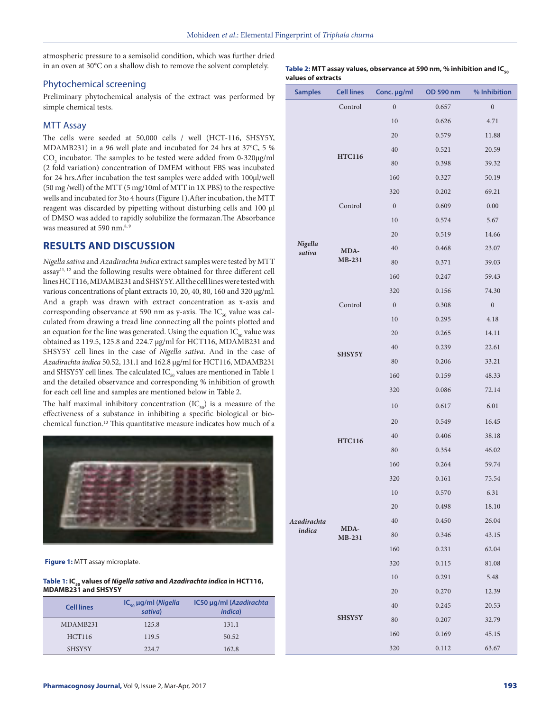atmospheric pressure to a semisolid condition, which was further dried in an oven at 30°C on a shallow dish to remove the solvent completely.

### Phytochemical screening

Preliminary phytochemical analysis of the extract was performed by simple chemical tests.

### MTT Assay

The cells were seeded at 50,000 cells / well (HCT-116, SHSY5Y, MDAMB231) in a 96 well plate and incubated for 24 hrs at 37°C, 5 %  $\mathrm{CO}_2$  incubator. The samples to be tested were added from 0-320 $\mu$ g/ml (2 fold variation) concentration of DMEM without FBS was incubated for 24 hrs.After incubation the test samples were added with 100µl/well (50 mg /well) of the MTT (5 mg/10ml of MTT in 1X PBS) to the respective wells and incubated for 3to 4 hours (Figure 1).After incubation, the MTT reagent was discarded by pipetting without disturbing cells and 100 µl of DMSO was added to rapidly solubilize the formazan.The Absorbance was measured at 590 nm.<sup>8, 9</sup>

# **RESULTS AND DISCUSSION**

*Nigella sativa* and *Azadirachta indica* extract samples were tested by MTT assay11, 12 and the following results were obtained for three different cell lines HCT116, MDAMB231 and SHSY5Y. All the cell lines were tested with various concentrations of plant extracts 10, 20, 40, 80, 160 and 320 µg/ml. And a graph was drawn with extract concentration as x-axis and corresponding observance at 590 nm as y-axis. The  $IC_{50}$  value was calculated from drawing a tread line connecting all the points plotted and an equation for the line was generated. Using the equation  $IC_{50}$  value was obtained as 119.5, 125.8 and 224.7 µg/ml for HCT116, MDAMB231 and SHSY5Y cell lines in the case of *Nigella sativa*. And in the case of *Azadirachta indica* 50.52, 131.1 and 162.8 µg/ml for HCT116, MDAMB231 and SHSY5Y cell lines. The calculated  $IC_{50}$  values are mentioned in Table 1 and the detailed observance and corresponding % inhibition of growth for each cell line and samples are mentioned below in Table 2.

The half maximal inhibitory concentration  $(IC_{50})$  is a measure of the effectiveness of a substance in inhibiting a specific biological or biochemical function.13 This quantitative measure indicates how much of a



**Figure 1:** MTT assay microplate.

#### Table 1: IC<sub>50</sub> values of *Nigella sativa* and *Azadirachta indica* in HCT116, **MDAMB231 and SHSY5Y**

| <b>Cell lines</b> | $IC_{50}$ µg/ml (Nigella<br>sativa) | IC50 µg/ml (Azadirachta<br><i>indica</i> ) |
|-------------------|-------------------------------------|--------------------------------------------|
| MDAMB231          | 125.8                               | 131.1                                      |
| HCT116            | 119.5                               | 50.52                                      |
| SHSY5Y            | 224.7                               | 162.8                                      |

#### Table 2: MTT assay values, observance at 590 nm, % inhibition and IC<sub>50</sub> **values of extracts**

| <b>Samples</b>        | <b>Cell lines</b> | Conc. µg/ml      | OD 590 nm | % Inhibition     |
|-----------------------|-------------------|------------------|-----------|------------------|
| Nigella<br>sativa     | Control           | $\mathbf{0}$     | 0.657     | $\boldsymbol{0}$ |
|                       |                   | 10               | 0.626     | 4.71             |
|                       |                   | 20               | 0.579     | 11.88            |
|                       |                   | 40               | 0.521     | 20.59            |
|                       | <b>HTC116</b>     | 80               | 0.398     | 39.32            |
|                       |                   | 160              | 0.327     | 50.19            |
|                       | Control           | 320              | 0.202     | 69.21            |
|                       |                   | $\boldsymbol{0}$ | 0.609     | $0.00\,$         |
|                       |                   | 10               | 0.574     | 5.67             |
|                       | MDA-<br>MB-231    | 20               | 0.519     | 14.66            |
|                       |                   | 40               | 0.468     | 23.07            |
|                       |                   | 80               | 0.371     | 39.03            |
|                       |                   | 160              | 0.247     | 59.43            |
|                       | Control           | 320              | 0.156     | 74.30            |
|                       |                   | $\boldsymbol{0}$ | 0.308     | $\boldsymbol{0}$ |
|                       |                   | 10               | 0.295     | 4.18             |
|                       |                   | 20               | 0.265     | 14.11            |
|                       |                   | 40               | 0.239     | 22.61            |
|                       | SHSY5Y            | 80               | 0.206     | 33.21            |
|                       |                   | 160              | 0.159     | 48.33            |
|                       |                   | 320              | 0.086     | 72.14            |
| Azadirachta<br>indica | <b>HTC116</b>     | 10               | 0.617     | 6.01             |
|                       |                   | 20               | 0.549     | 16.45            |
|                       |                   | 40               | 0.406     | 38.18            |
|                       |                   | 80               | 0.354     | 46.02            |
|                       |                   | 160              | 0.264     | 59.74            |
|                       |                   | 320              | 0.161     | 75.54            |
|                       |                   | 10               | 0.570     | 6.31             |
|                       | MDA-<br>MB-231    | 20               | 0.498     | 18.10            |
|                       |                   | 40               | 0.450     | 26.04            |
|                       |                   | 80               | 0.346     | 43.15            |
|                       |                   | 160              | 0.231     | 62.04            |
|                       |                   | 320              | 0.115     | 81.08            |
|                       |                   | 10               | 0.291     | 5.48             |
|                       | <b>SHSY5Y</b>     | 20               | 0.270     | 12.39            |
|                       |                   | 40               | 0.245     | 20.53            |
|                       |                   | 80               | 0.207     | 32.79            |
|                       |                   | 160              | 0.169     | 45.15            |
|                       |                   | 320              | 0.112     | 63.67            |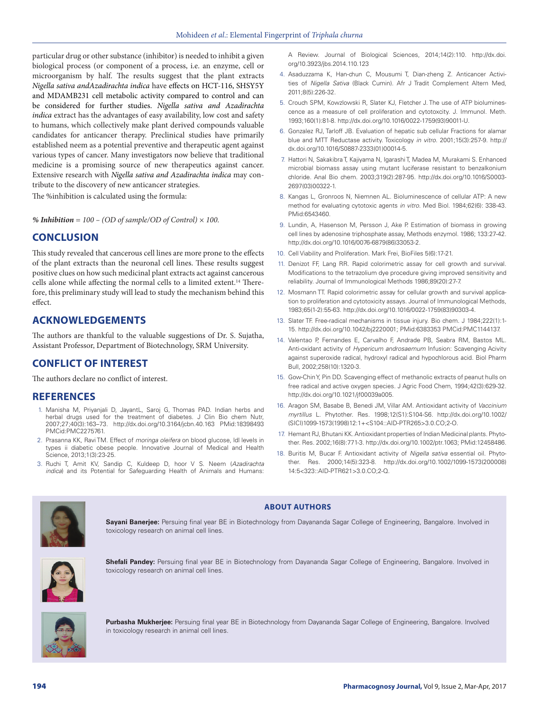particular drug or other substance (inhibitor) is needed to inhibit a given biological process (or component of a process, i.e. an enzyme, cell or microorganism by half. The results suggest that the plant extracts *Nigella sativa andAzadirachta indica* have effects on HCT-116, SHSY5Y and MDAMB231 cell metabolic activity compared to control and can be considered for further studies. *Nigella sativa and Azadirachta indica* extract has the advantages of easy availability, low cost and safety to humans, which collectively make plant derived compounds valuable candidates for anticancer therapy. Preclinical studies have primarily established neem as a potential preventive and therapeutic agent against various types of cancer. Many investigators now believe that traditional medicine is a promising source of new therapeutics against cancer. Extensive research with *Nigella sativa and Azadirachta indica* may contribute to the discovery of new anticancer strategies.

The %inhibition is calculated using the formula:

*% Inhibition = 100 – (OD of sample/OD of Control) × 100.*

# **CONCLUSION**

This study revealed that cancerous cell lines are more prone to the effects of the plant extracts than the neuronal cell lines. These results suggest positive clues on how such medicinal plant extracts act against cancerous cells alone while affecting the normal cells to a limited extent.14 Therefore, this preliminary study will lead to study the mechanism behind this effect.

## **ACKNOWLEDGEMENTS**

The authors are thankful to the valuable suggestions of Dr. S. Sujatha, Assistant Professor, Department of Biotechnology, SRM University.

# **CONFLICT OF INTEREST**

The authors declare no conflict of interest.

### **REFERENCES**

- 1. Manisha M, Priyanjali D, JayantL, Saroj G, Thomas PAD. Indian herbs and herbal drugs used for the treatment of diabetes. J Clin Bio chem Nutr, 2007;27;40(3):163–73. http://dx.doi.org/10.3164/jcbn.40.163 PMid:18398493 PMCid:PMC2275761.
- 2. Prasanna KK, Ravi TM. Effect of *moringa oleifera* on blood glucose, ldl levels in types ii diabetic obese people. Innovative Journal of Medical and Health Science, 2013;1(3):23-25.
- 3. Ruchi T, Amit KV, Sandip C, Kuldeep D, hoor V S. Neem (*Azadirachta indica*) and its Potential for Safeguarding Health of Animals and Humans:

A Review. Journal of Biological Sciences, 2014;14(2):110. http://dx.doi. org/10.3923/jbs.2014.110.123

- 4. Asaduzzama K, Han-chun C, Mousumi T, Dian-zheng Z. Anticancer Activities of *Nigella Sativa* (Black Cumin). Afr J Tradit Complement Altern Med, 2011;8(5):226-32.
- 5. Crouch SPM, Kowzlowski R, Slater KJ, Fletcher J. The use of ATP bioluminescence as a measure of cell proliferation and cytotoxcity. J. Immunol. Meth. 1993;160(1):81-8. http://dx.doi.org/10.1016/0022-1759(93)90011-U.
- 6. Gonzalez RJ, Tarloff JB. Evaluation of hepatic sub cellular Fractions for alamar blue and MTT Reductase activity. Toxicology *in vitro*. 2001;15(3):257-9. http:// dx.doi.org/10.1016/S0887-2333(01)00014-5.
- 7. Hattori N, Sakakibra T, Kajiyama N, Igarashi T, Madea M, Murakami S. Enhanced microbial biomass assay using mutant luciferase resistant to benzalkonium chloride. Anal Bio chem. 2003;319(2):287-95. http://dx.doi.org/10.1016/S0003- 2697(03)00322-1.
- 8. Kangas L, Gronroos N, Niemnen AL. Bioluminescence of cellular ATP: A new method for evaluating cytotoxic agents *in vitro*. Med Biol. 1984;62(6): 338-43. PMid:6543460.
- 9. Lundin, A, Hasenson M, Persson J, Ake P. Estimation of biomass in growing cell lines by adenosine triphosphate assay, Methods enzymol. 1986; 133:27-42. http://dx.doi.org/10.1016/0076-6879(86)33053-2.
- 10. Cell Viability and Proliferation. Mark Frei, BioFiles 5(6):17-21.
- 11. Denizot FF, Lang RR. Rapid colorimetric assay for cell growth and survival. Modifications to the tetrazolium dye procedure giving improved sensitivity and reliability. Journal of Immunological Methods 1986;89(20):27-7.
- 12. Mosmann TT. Rapid colorimetric assay for cellular growth and survival application to proliferation and cytotoxicity assays. Journal of Immunological Methods, 1983;65(1-2):55-63. http://dx.doi.org/10.1016/0022-1759(83)90303-4.
- 13. Slater TF. Free-radical mechanisms in tissue injury. Bio chem. J 1984;222(1):1- 15. http://dx.doi.org/10.1042/bj2220001; PMid:6383353 PMCid:PMC1144137.
- 14. Valentao P, Fernandes E, Carvalho F, Andrade PB, Seabra RM, Bastos ML. Anti-oxidant activity of *Hypericum androsaemum* Infusion: Scavenging Acivity against superoxide radical, hydroxyl radical and hypochlorous acid. Biol Pharm Bull, 2002;258(10):1320-3.
- 15. Gow-Chin Y, Pin DD. Scavenging effect of methanolic extracts of peanut hulls on free radical and active oxygen species. J Agric Food Chem, 1994;42(3):629-32. http://dx.doi.org/10.1021/jf00039a005.
- 16. Aragon SM, Basabe B, Benedi JM, Villar AM. Antioxidant activity of *Vaccinium myrtillus* L. Phytother. Res. 1998;12(S1):S104-S6. http://dx.doi.org/10.1002/ (SICI)1099-1573(1998)12:1+<S104::AID-PTR265>3.0.CO;2-O.
- 17. Hemant RJ, Bhutani KK. Antioxidant properties of Indian Medicinal plants. Phytother. Res. 2002;16(8):771-3. http://dx.doi.org/10.1002/ptr.1063; PMid:12458486.
- 18. Buritis M, Bucar F. Antioxidant activity of *Nigella sativa* essential oil. Phytother. Res. 2000;14(5):323-8. http://dx.doi.org/10.1002/1099-1573(200008) 14:5<323::AID-PTR621>3.0.CO;2-Q.



**Sayani Banerjee:** Persuing final year BE in Biotechnology from Dayananda Sagar College of Engineering, Bangalore. Involved in toxicology research on animal cell lines.

**ABOUT AUTHORS**



**Shefali Pandey:** Persuing final year BE in Biotechnology from Dayananda Sagar College of Engineering, Bangalore. Involved in toxicology research on animal cell lines.



**Purbasha Mukherjee:** Persuing final year BE in Biotechnology from Dayananda Sagar College of Engineering, Bangalore. Involved in toxicology research in animal cell lines.